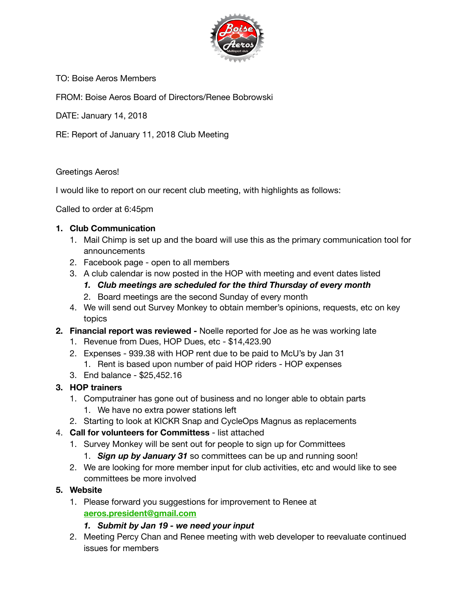

TO: Boise Aeros Members

FROM: Boise Aeros Board of Directors/Renee Bobrowski

DATE: January 14, 2018

RE: Report of January 11, 2018 Club Meeting

#### Greetings Aeros!

I would like to report on our recent club meeting, with highlights as follows:

Called to order at 6:45pm

#### **1. Club Communication**

- 1. Mail Chimp is set up and the board will use this as the primary communication tool for announcements
- 2. Facebook page open to all members
- 3. A club calendar is now posted in the HOP with meeting and event dates listed
	- *1. Club meetings are scheduled for the third Thursday of every month*
	- 2. Board meetings are the second Sunday of every month
- 4. We will send out Survey Monkey to obtain member's opinions, requests, etc on key topics
- **2. Financial report was reviewed** Noelle reported for Joe as he was working late
	- 1. Revenue from Dues, HOP Dues, etc \$14,423.90
	- 2. Expenses 939.38 with HOP rent due to be paid to McU's by Jan 31
		- 1. Rent is based upon number of paid HOP riders HOP expenses
	- 3. End balance \$25,452.16

# **3. HOP trainers**

- 1. Computrainer has gone out of business and no longer able to obtain parts
	- 1. We have no extra power stations left
- 2. Starting to look at KICKR Snap and CycleOps Magnus as replacements

# 4. **Call for volunteers for Committess** - list attached

- 1. Survey Monkey will be sent out for people to sign up for Committees
	- 1. *Sign up by January 31* so committees can be up and running soon!
- 2. We are looking for more member input for club activities, etc and would like to see committees be more involved

# **5. Website**

1. Please forward you suggestions for improvement to Renee at **[aeros.president@gmail.com](mailto:aeros.president@gmail.com)**

# *1. Submit by Jan 19 - we need your input*

2. Meeting Percy Chan and Renee meeting with web developer to reevaluate continued issues for members